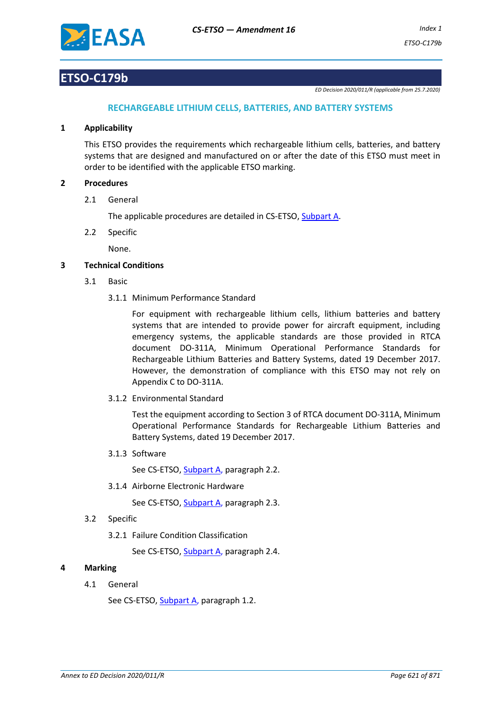

# **ETSO-C179b**

*ED Decision 2020/011/R (applicable from 25.7.2020)*

# **RECHARGEABLE LITHIUM CELLS, BATTERIES, AND BATTERY SYSTEMS**

### **1 Applicability**

This ETSO provides the requirements which rechargeable lithium cells, batteries, and battery systems that are designed and manufactured on or after the date of this ETSO must meet in order to be identified with the applicable ETSO marking.

### **2 Procedures**

2.1 General

The applicable procedures are detailed in CS-ETSO, Subpart A.

2.2 Specific

None.

## **3 Technical Conditions**

- 3.1 Basic
	- 3.1.1 Minimum Performance Standard

For equipment with rechargeable lithium cells, lithium batteries and battery systems that are intended to provide power for aircraft equipment, including emergency systems, the applicable standards are those provided in RTCA document DO-311A, Minimum Operational Performance Standards for Rechargeable Lithium Batteries and Battery Systems, dated 19 December 2017. However, the demonstration of compliance with this ETSO may not rely on Appendix C to DO-311A.

3.1.2 Environmental Standard

Test the equipment according to Section 3 of RTCA document DO-311A, Minimum Operational Performance Standards for Rechargeable Lithium Batteries and Battery Systems, dated 19 December 2017.

3.1.3 Software

See CS-ETSO, Subpart A, paragraph 2.2.

3.1.4 Airborne Electronic Hardware

See CS-ETSO, Subpart A, paragraph 2.3.

- 3.2 Specific
	- 3.2.1 Failure Condition Classification

See CS-ETSO, Subpart A, paragraph 2.4.

## **4 Marking**

4.1 General

See CS-ETSO, Subpart A, paragraph 1.2.